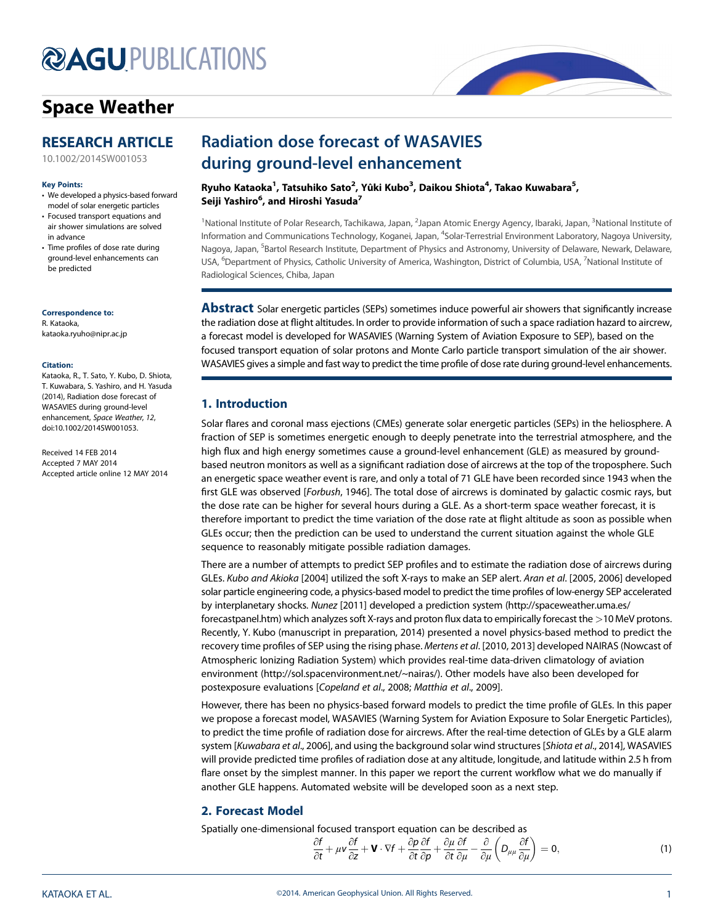# **@AGU[PUBLICATIONS](http://publications.agu.org/journals/)**

# [Space Weather](http://onlinelibrary.wiley.com/journal/10.1002/(ISSN)1542-7390)

# RESEARCH ARTICLE

[10.1002/2014SW001053](http://dx.doi.org/10.1002/2014SW001053)

#### Key Points:

- We developed a physics-based forward model of solar energetic particles
- Focused transport equations and air shower simulations are solved in advance
- Time profiles of dose rate during ground-level enhancements can be predicted

Correspondence to: R. Kataoka, kataoka.ryuho@nipr.ac.jp

#### Citation:

Kataoka, R., T. Sato, Y. Kubo, D. Shiota, T. Kuwabara, S. Yashiro, and H. Yasuda (2014), Radiation dose forecast of WASAVIES during ground-level enhancement, Space Weather, 12, doi:10.1002/2014SW001053.

Received 14 FEB 2014 Accepted 7 MAY 2014 Accepted article online 12 MAY 2014

# Radiation dose forecast of WASAVIES during ground-level enhancement

## Ryuho Kataoka<sup>1</sup>, Tatsuhiko Sato<sup>2</sup>, Yûki Kubo<sup>3</sup>, Daikou Shiota<sup>4</sup>, Takao Kuwabara<sup>5</sup>, Seiji Yashiro<sup>6</sup>, and Hiroshi Yasuda<sup>7</sup>

<sup>1</sup>National Institute of Polar Research, Tachikawa, Japan, <sup>2</sup>Japan Atomic Energy Agency, Ibaraki, Japan, <sup>3</sup>National Institute of Information and Communications Technology, Koganei, Japan, <sup>4</sup>Solar-Terrestrial Environment Laboratory, Nagoya University, Nagoya, Japan, <sup>s</sup>Bartol Research Institute, Department of Physics and Astronomy, University of Delaware, Newark, Delaware, USA, <sup>6</sup>Department of Physics, Catholic University of America, Washington, District of Columbia, USA, <sup>7</sup>National Institute of Radiological Sciences, Chiba, Japan

Abstract Solar energetic particles (SEPs) sometimes induce powerful air showers that significantly increase the radiation dose at flight altitudes. In order to provide information of such a space radiation hazard to aircrew, a forecast model is developed for WASAVIES (Warning System of Aviation Exposure to SEP), based on the focused transport equation of solar protons and Monte Carlo particle transport simulation of the air shower. WASAVIES gives a simple and fast way to predict the time profile of dose rate during ground-level enhancements.

# 1. Introduction

Solar flares and coronal mass ejections (CMEs) generate solar energetic particles (SEPs) in the heliosphere. A fraction of SEP is sometimes energetic enough to deeply penetrate into the terrestrial atmosphere, and the high flux and high energy sometimes cause a ground-level enhancement (GLE) as measured by groundbased neutron monitors as well as a significant radiation dose of aircrews at the top of the troposphere. Such an energetic space weather event is rare, and only a total of 71 GLE have been recorded since 1943 when the first GLE was observed [Forbush, 1946]. The total dose of aircrews is dominated by galactic cosmic rays, but the dose rate can be higher for several hours during a GLE. As a short-term space weather forecast, it is therefore important to predict the time variation of the dose rate at flight altitude as soon as possible when GLEs occur; then the prediction can be used to understand the current situation against the whole GLE sequence to reasonably mitigate possible radiation damages.

There are a number of attempts to predict SEP profiles and to estimate the radiation dose of aircrews during GLEs. Kubo and Akioka [2004] utilized the soft X-rays to make an SEP alert. Aran et al. [2005, 2006] developed solar particle engineering code, a physics-based model to predict the time profiles of low-energy SEP accelerated by interplanetary shocks. Nunez [2011] developed a prediction system [\(http://spaceweather.uma.es/](http://spaceweather.uma.es/forecastpanel.htm) [forecastpanel.htm\)](http://spaceweather.uma.es/forecastpanel.htm) which analyzes soft X-rays and proton flux data to empirically forecast the >10 MeV protons. Recently, Y. Kubo (manuscript in preparation, 2014) presented a novel physics-based method to predict the recovery time profiles of SEP using the rising phase. Mertens et al. [2010, 2013] developed NAIRAS (Nowcast of Atmospheric Ionizing Radiation System) which provides real-time data-driven climatology of aviation environment ([http://sol.spacenvironment.net/~nairas/\)](http://sol.spacenvironment.net/~nairas/). Other models have also been developed for postexposure evaluations [Copeland et al., 2008; Matthia et al., 2009].

However, there has been no physics-based forward models to predict the time profile of GLEs. In this paper we propose a forecast model, WASAVIES (Warning System for Aviation Exposure to Solar Energetic Particles), to predict the time profile of radiation dose for aircrews. After the real-time detection of GLEs by a GLE alarm system [Kuwabara et al., 2006], and using the background solar wind structures [Shiota et al., 2014], WASAVIES will provide predicted time profiles of radiation dose at any altitude, longitude, and latitude within 2.5 h from flare onset by the simplest manner. In this paper we report the current workflow what we do manually if another GLE happens. Automated website will be developed soon as a next step.

## 2. Forecast Model

Spatially one-dimensional focused transport equation can be described as

$$
\frac{\partial f}{\partial t} + \mu \mathbf{v} \frac{\partial f}{\partial z} + \mathbf{V} \cdot \nabla f + \frac{\partial p}{\partial t} \frac{\partial f}{\partial p} + \frac{\partial \mu}{\partial t} \frac{\partial f}{\partial \mu} - \frac{\partial}{\partial \mu} \left( D_{\mu \mu} \frac{\partial f}{\partial \mu} \right) = 0, \tag{1}
$$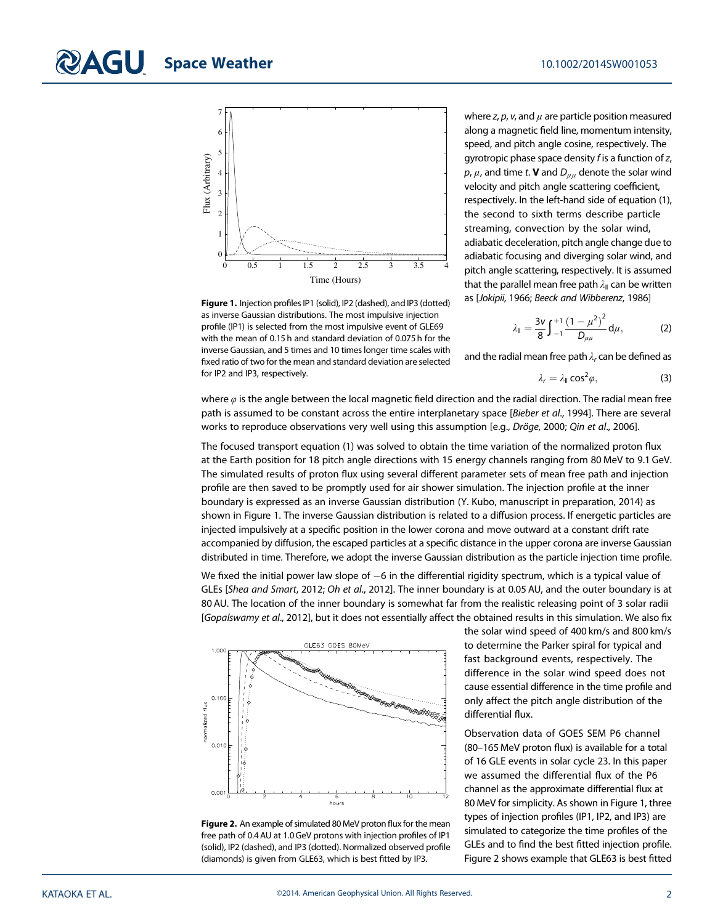

Figure 1. Injection profiles IP1 (solid), IP2 (dashed), and IP3 (dotted) as inverse Gaussian distributions. The most impulsive injection profile (IP1) is selected from the most impulsive event of GLE69 with the mean of 0.15 h and standard deviation of 0.075 h for the inverse Gaussian, and 5 times and 10 times longer time scales with fixed ratio of two for the mean and standard deviation are selected for IP2 and IP3, respectively.

where  $z$ ,  $p$ ,  $v$ , and  $\mu$  are particle position measured along a magnetic field line, momentum intensity, speed, and pitch angle cosine, respectively. The gyrotropic phase space density  $f$  is a function of  $z$ ,  $p, \mu$ , and time t. **V** and  $D_{\mu\mu}$  denote the solar wind velocity and pitch angle scattering coefficient, respectively. In the left-hand side of equation (1), the second to sixth terms describe particle streaming, convection by the solar wind, adiabatic deceleration, pitch angle change due to adiabatic focusing and diverging solar wind, and pitch angle scattering, respectively. It is assumed that the parallel mean free path  $\lambda_{\parallel}$  can be written as [Jokipii, 1966; Beeck and Wibberenz, 1986]

$$
\lambda_{\parallel} = \frac{3v}{8} \int_{-1}^{+1} \frac{(1 - \mu^2)^2}{D_{\mu\mu}} d\mu, \tag{2}
$$

and the radial mean free path  $\lambda_r$  can be defined as

$$
\lambda_r = \lambda_{\parallel} \cos^2 \varphi, \tag{3}
$$

where  $\varphi$  is the angle between the local magnetic field direction and the radial direction. The radial mean free path is assumed to be constant across the entire interplanetary space [Bieber et al., 1994]. There are several works to reproduce observations very well using this assumption [e.g., Dröge, 2000; Qin et al., 2006].

The focused transport equation (1) was solved to obtain the time variation of the normalized proton flux at the Earth position for 18 pitch angle directions with 15 energy channels ranging from 80 MeV to 9.1 GeV. The simulated results of proton flux using several different parameter sets of mean free path and injection profile are then saved to be promptly used for air shower simulation. The injection profile at the inner boundary is expressed as an inverse Gaussian distribution (Y. Kubo, manuscript in preparation, 2014) as shown in Figure 1. The inverse Gaussian distribution is related to a diffusion process. If energetic particles are injected impulsively at a specific position in the lower corona and move outward at a constant drift rate accompanied by diffusion, the escaped particles at a specific distance in the upper corona are inverse Gaussian distributed in time. Therefore, we adopt the inverse Gaussian distribution as the particle injection time profile.

We fixed the initial power law slope of  $-6$  in the differential rigidity spectrum, which is a typical value of GLEs [Shea and Smart, 2012; Oh et al., 2012]. The inner boundary is at 0.05 AU, and the outer boundary is at 80 AU. The location of the inner boundary is somewhat far from the realistic releasing point of 3 solar radii [Gopalswamy et al., 2012], but it does not essentially affect the obtained results in this simulation. We also fix



Figure 2. An example of simulated 80 MeV proton flux for the mean free path of 0.4 AU at 1.0 GeV protons with injection profiles of IP1 (solid), IP2 (dashed), and IP3 (dotted). Normalized observed profile (diamonds) is given from GLE63, which is best fitted by IP3.

the solar wind speed of 400 km/s and 800 km/s to determine the Parker spiral for typical and fast background events, respectively. The difference in the solar wind speed does not cause essential difference in the time profile and only affect the pitch angle distribution of the differential flux.

Observation data of GOES SEM P6 channel (80–165 MeV proton flux) is available for a total of 16 GLE events in solar cycle 23. In this paper we assumed the differential flux of the P6 channel as the approximate differential flux at 80 MeV for simplicity. As shown in Figure 1, three types of injection profiles (IP1, IP2, and IP3) are simulated to categorize the time profiles of the GLEs and to find the best fitted injection profile. Figure 2 shows example that GLE63 is best fitted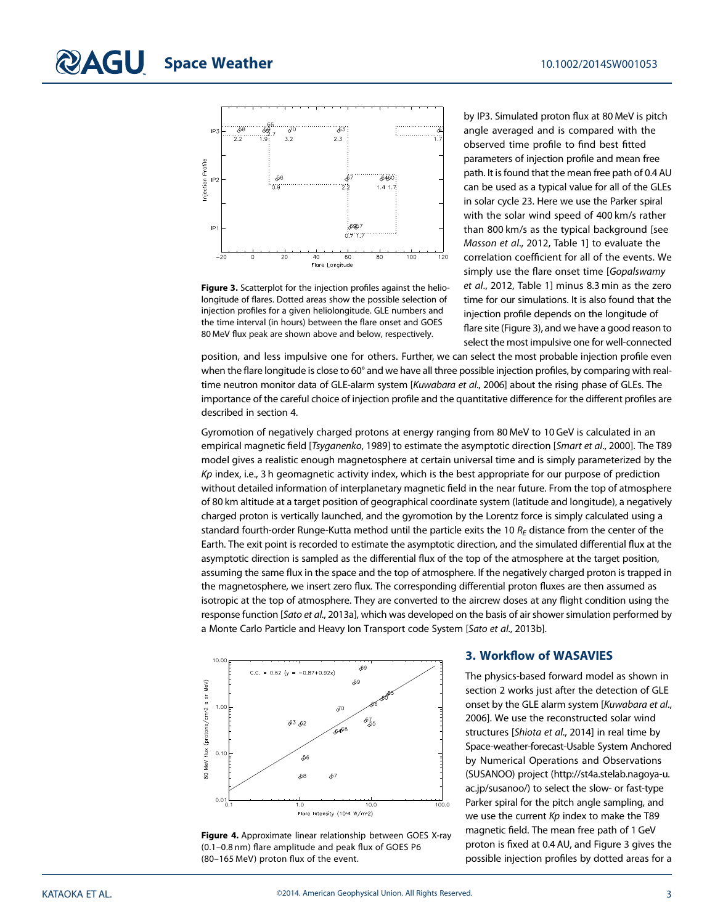

Figure 3. Scatterplot for the injection profiles against the heliolongitude of flares. Dotted areas show the possible selection of injection profiles for a given heliolongitude. GLE numbers and the time interval (in hours) between the flare onset and GOES 80 MeV flux peak are shown above and below, respectively.

by IP3. Simulated proton flux at 80 MeV is pitch angle averaged and is compared with the observed time profile to find best fitted parameters of injection profile and mean free path. It is found that the mean free path of 0.4 AU can be used as a typical value for all of the GLEs in solar cycle 23. Here we use the Parker spiral with the solar wind speed of 400 km/s rather than 800 km/s as the typical background [see Masson et al., 2012, Table 1] to evaluate the correlation coefficient for all of the events. We simply use the flare onset time [Gopalswamy et al., 2012, Table 1] minus 8.3 min as the zero time for our simulations. It is also found that the injection profile depends on the longitude of flare site (Figure 3), and we have a good reason to select the most impulsive one for well-connected

position, and less impulsive one for others. Further, we can select the most probable injection profile even when the flare longitude is close to 60° and we have all three possible injection profiles, by comparing with realtime neutron monitor data of GLE-alarm system [Kuwabara et al., 2006] about the rising phase of GLEs. The importance of the careful choice of injection profile and the quantitative difference for the different profiles are described in section 4.

Gyromotion of negatively charged protons at energy ranging from 80 MeV to 10 GeV is calculated in an empirical magnetic field [Tsyganenko, 1989] to estimate the asymptotic direction [Smart et al., 2000]. The T89 model gives a realistic enough magnetosphere at certain universal time and is simply parameterized by the  $Kp$  index, i.e., 3 h geomagnetic activity index, which is the best appropriate for our purpose of prediction without detailed information of interplanetary magnetic field in the near future. From the top of atmosphere of 80 km altitude at a target position of geographical coordinate system (latitude and longitude), a negatively charged proton is vertically launched, and the gyromotion by the Lorentz force is simply calculated using a standard fourth-order Runge-Kutta method until the particle exits the 10  $R<sub>F</sub>$  distance from the center of the Earth. The exit point is recorded to estimate the asymptotic direction, and the simulated differential flux at the asymptotic direction is sampled as the differential flux of the top of the atmosphere at the target position, assuming the same flux in the space and the top of atmosphere. If the negatively charged proton is trapped in the magnetosphere, we insert zero flux. The corresponding differential proton fluxes are then assumed as isotropic at the top of atmosphere. They are converted to the aircrew doses at any flight condition using the response function [Sato et al., 2013a], which was developed on the basis of air shower simulation performed by a Monte Carlo Particle and Heavy Ion Transport code System [Sato et al., 2013b].



Figure 4. Approximate linear relationship between GOES X-ray (0.1–0.8 nm) flare amplitude and peak flux of GOES P6 (80–165 MeV) proton flux of the event.

## 3. Workflow of WASAVIES

The physics-based forward model as shown in section 2 works just after the detection of GLE onset by the GLE alarm system [Kuwabara et al., 2006]. We use the reconstructed solar wind structures [Shiota et al., 2014] in real time by Space-weather-forecast-Usable System Anchored by Numerical Operations and Observations (SUSANOO) project [\(http://st4a.stelab.nagoya-u.](http://st4a.stelab.nagoya‐u.ac.jp/susanoo/) [ac.jp/susanoo/\)](http://st4a.stelab.nagoya‐u.ac.jp/susanoo/) to select the slow- or fast-type Parker spiral for the pitch angle sampling, and we use the current  $Kp$  index to make the T89 magnetic field. The mean free path of 1 GeV proton is fixed at 0.4 AU, and Figure 3 gives the possible injection profiles by dotted areas for a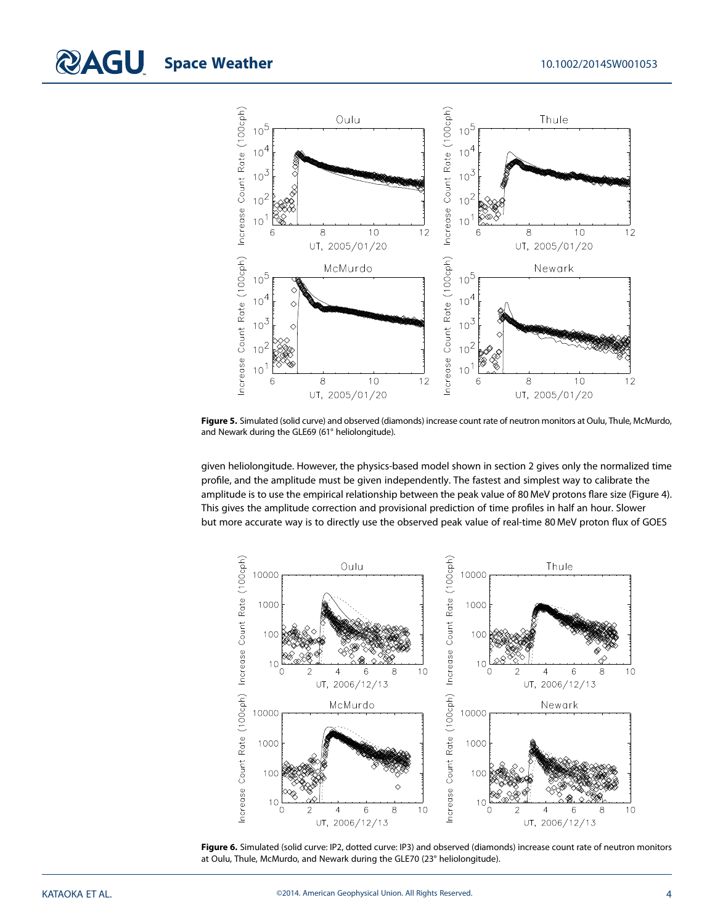

Figure 5. Simulated (solid curve) and observed (diamonds) increase count rate of neutron monitors at Oulu, Thule, McMurdo, and Newark during the GLE69 (61° heliolongitude).

given heliolongitude. However, the physics-based model shown in section 2 gives only the normalized time profile, and the amplitude must be given independently. The fastest and simplest way to calibrate the amplitude is to use the empirical relationship between the peak value of 80 MeV protons flare size (Figure 4). This gives the amplitude correction and provisional prediction of time profiles in half an hour. Slower but more accurate way is to directly use the observed peak value of real-time 80 MeV proton flux of GOES



Figure 6. Simulated (solid curve: IP2, dotted curve: IP3) and observed (diamonds) increase count rate of neutron monitors at Oulu, Thule, McMurdo, and Newark during the GLE70 (23° heliolongitude).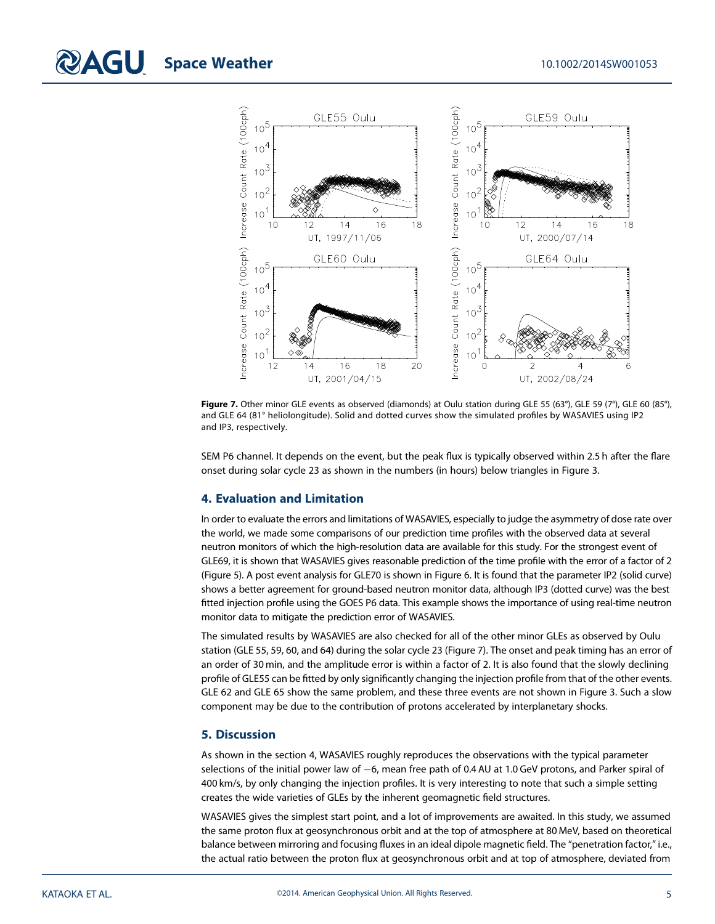

Figure 7. Other minor GLE events as observed (diamonds) at Oulu station during GLE 55 (63°), GLE 59 (7°), GLE 60 (85°), and GLE 64 (81° heliolongitude). Solid and dotted curves show the simulated profiles by WASAVIES using IP2 and IP3, respectively.

SEM P6 channel. It depends on the event, but the peak flux is typically observed within 2.5 h after the flare onset during solar cycle 23 as shown in the numbers (in hours) below triangles in Figure 3.

#### 4. Evaluation and Limitation

In order to evaluate the errors and limitations of WASAVIES, especially to judge the asymmetry of dose rate over the world, we made some comparisons of our prediction time profiles with the observed data at several neutron monitors of which the high-resolution data are available for this study. For the strongest event of GLE69, it is shown that WASAVIES gives reasonable prediction of the time profile with the error of a factor of 2 (Figure 5). A post event analysis for GLE70 is shown in Figure 6. It is found that the parameter IP2 (solid curve) shows a better agreement for ground-based neutron monitor data, although IP3 (dotted curve) was the best fitted injection profile using the GOES P6 data. This example shows the importance of using real-time neutron monitor data to mitigate the prediction error of WASAVIES.

The simulated results by WASAVIES are also checked for all of the other minor GLEs as observed by Oulu station (GLE 55, 59, 60, and 64) during the solar cycle 23 (Figure 7). The onset and peak timing has an error of an order of 30 min, and the amplitude error is within a factor of 2. It is also found that the slowly declining profile of GLE55 can be fitted by only significantly changing the injection profile from that of the other events. GLE 62 and GLE 65 show the same problem, and these three events are not shown in Figure 3. Such a slow component may be due to the contribution of protons accelerated by interplanetary shocks.

#### 5. Discussion

As shown in the section 4, WASAVIES roughly reproduces the observations with the typical parameter selections of the initial power law of -6, mean free path of 0.4 AU at 1.0 GeV protons, and Parker spiral of 400 km/s, by only changing the injection profiles. It is very interesting to note that such a simple setting creates the wide varieties of GLEs by the inherent geomagnetic field structures.

WASAVIES gives the simplest start point, and a lot of improvements are awaited. In this study, we assumed the same proton flux at geosynchronous orbit and at the top of atmosphere at 80 MeV, based on theoretical balance between mirroring and focusing fluxes in an ideal dipole magnetic field. The "penetration factor," i.e., the actual ratio between the proton flux at geosynchronous orbit and at top of atmosphere, deviated from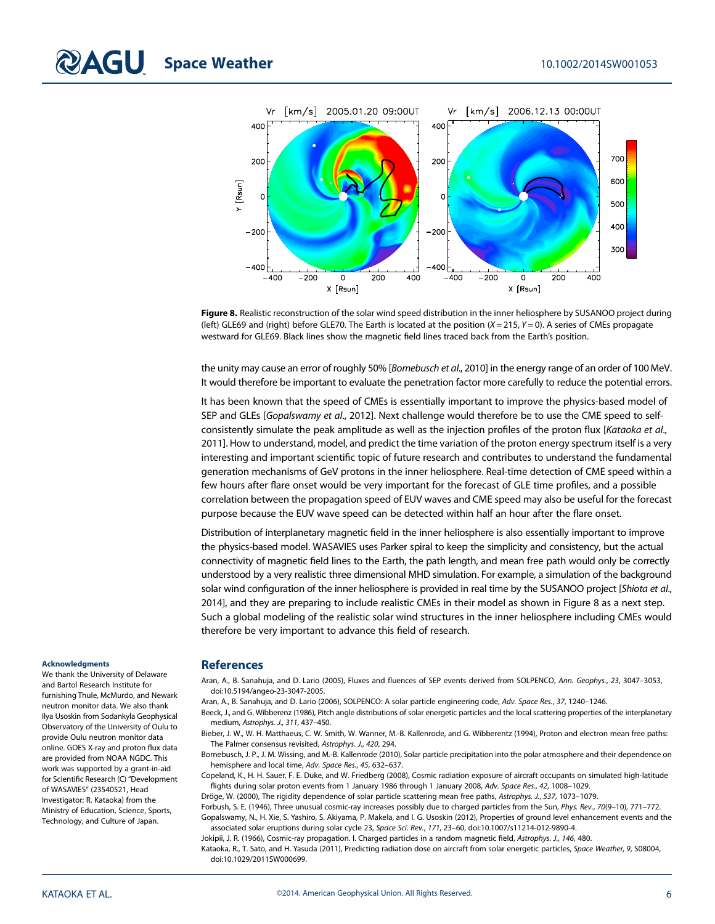

Figure 8. Realistic reconstruction of the solar wind speed distribution in the inner heliosphere by SUSANOO project during (left) GLE69 and (right) before GLE70. The Earth is located at the position  $(X = 215, Y = 0)$ . A series of CMEs propagate westward for GLE69. Black lines show the magnetic field lines traced back from the Earth's position.

the unity may cause an error of roughly 50% [Bornebusch et al., 2010] in the energy range of an order of 100 MeV. It would therefore be important to evaluate the penetration factor more carefully to reduce the potential errors.

It has been known that the speed of CMEs is essentially important to improve the physics-based model of SEP and GLEs [Gopalswamy et al., 2012]. Next challenge would therefore be to use the CME speed to selfconsistently simulate the peak amplitude as well as the injection profiles of the proton flux [Kataoka et al., 2011]. How to understand, model, and predict the time variation of the proton energy spectrum itself is a very interesting and important scientific topic of future research and contributes to understand the fundamental generation mechanisms of GeV protons in the inner heliosphere. Real-time detection of CME speed within a few hours after flare onset would be very important for the forecast of GLE time profiles, and a possible correlation between the propagation speed of EUV waves and CME speed may also be useful for the forecast purpose because the EUV wave speed can be detected within half an hour after the flare onset.

Distribution of interplanetary magnetic field in the inner heliosphere is also essentially important to improve the physics-based model. WASAVIES uses Parker spiral to keep the simplicity and consistency, but the actual connectivity of magnetic field lines to the Earth, the path length, and mean free path would only be correctly understood by a very realistic three dimensional MHD simulation. For example, a simulation of the background solar wind configuration of the inner heliosphere is provided in real time by the SUSANOO project [Shiota et al., 2014], and they are preparing to include realistic CMEs in their model as shown in Figure 8 as a next step. Such a global modeling of the realistic solar wind structures in the inner heliosphere including CMEs would therefore be very important to advance this field of research.

#### **Acknowledaments**

We thank the University of Delaware and Bartol Research Institute for furnishing Thule, McMurdo, and Newark neutron monitor data. We also thank Ilya Usoskin from Sodankyla Geophysical Observatory of the University of Oulu to provide Oulu neutron monitor data online. GOES X-ray and proton flux data are provided from NOAA NGDC. This work was supported by a grant-in-aid for Scientific Research (C) "Development of WASAVIES" (23540521, Head Investigator: R. Kataoka) from the Ministry of Education, Science, Sports, Technology, and Culture of Japan.

#### References

- Aran, A., B. Sanahuja, and D. Lario (2005), Fluxes and fluences of SEP events derived from SOLPENCO, Ann. Geophys., 23, 3047–3053, doi[:10.5194/angeo-23-3047-2005.](http://dx.doi.org/10.5194/angeo‐23‐3047‐2005)
- Aran, A., B. Sanahuja, and D. Lario (2006), SOLPENCO: A solar particle engineering code, Adv. Space Res., 37, 1240–1246.
- Beeck, J., and G. Wibberenz (1986), Pitch angle distributions of solar energetic particles and the local scattering properties of the interplanetary medium, Astrophys. J., 311, 437–450.
- Bieber, J. W., W. H. Matthaeus, C. W. Smith, W. Wanner, M.-B. Kallenrode, and G. Wibberentz (1994), Proton and electron mean free paths: The Palmer consensus revisited, Astrophys. J., 420, 294.
- Bornebusch, J. P., J. M. Wissing, and M.-B. Kallenrode (2010), Solar particle precipitation into the polar atmosphere and their dependence on hemisphere and local time, Adv. Space Res., 45, 632–637.
- Copeland, K., H. H. Sauer, F. E. Duke, and W. Friedberg (2008), Cosmic radiation exposure of aircraft occupants on simulated high-latitude flights during solar proton events from 1 January 1986 through 1 January 2008, Adv. Space Res., 42, 1008-1029.
- Dröge, W. (2000), The rigidity dependence of solar particle scattering mean free paths, Astrophys. J., 537, 1073–1079.

Forbush, S. E. (1946), Three unusual cosmic-ray increases possibly due to charged particles from the Sun, Phys. Rev., 70(9–10), 771–772. Gopalswamy, N., H. Xie, S. Yashiro, S. Akiyama, P. Makela, and I. G. Usoskin (2012), Properties of ground level enhancement events and the associated solar eruptions during solar cycle 23, Space Sci. Rev., 171, 23–60, doi:[10.1007/s11214-012-9890-4.](http://dx.doi.org/10.1007/s11214‐012‐9890‐4)

- Jokipii, J. R. (1966), Cosmic-ray propagation. I. Charged particles in a random magnetic field, Astrophys. J., 146, 480.
- Kataoka, R., T. Sato, and H. Yasuda (2011), Predicting radiation dose on aircraft from solar energetic particles, Space Weather, 9, S08004, doi[:10.1029/2011SW000699.](http://dx.doi.org/10.1029/2011SW000699)